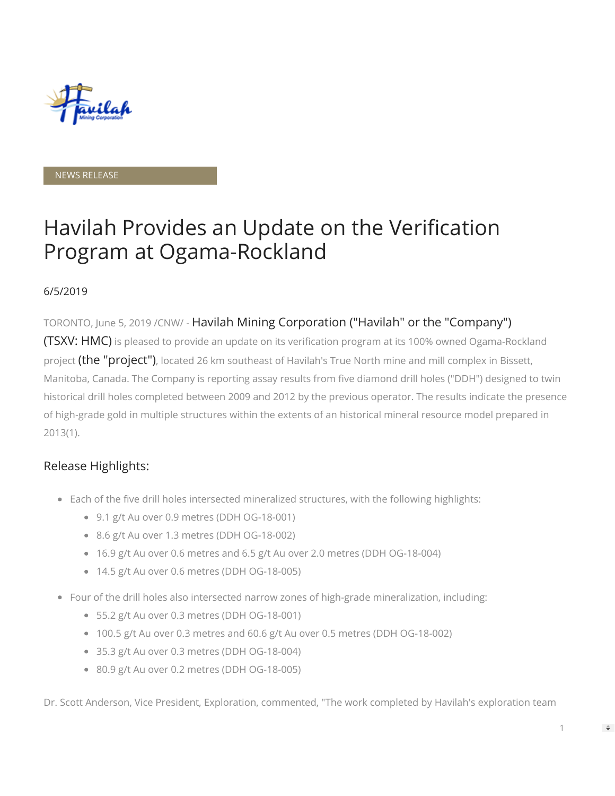

#### NEWS RELEASE

# Havilah Provides an Update on the Verification Program at Ogama-Rockland

#### 6/5/2019

TORONTO, June 5, 2019 /CNW/ - Havilah Mining Corporation ("Havilah" or the "Company") (TSXV:  $HMC$ ) is pleased to provide an update on its verification program at its 100% owned Ogama-Rockland

project (the "project"), located 26 km southeast of Havilah's True North mine and mill complex in Bissett, Manitoba, Canada. The Company is reporting assay results from five diamond drill holes ("DDH") designed to twin historical drill holes completed between 2009 and 2012 by the previous operator. The results indicate the presence of high-grade gold in multiple structures within the extents of an historical mineral resource model prepared in 2013(1).

#### Release Highlights:

- Each of the five drill holes intersected mineralized structures, with the following highlights:
	- 9.1 g/t Au over 0.9 metres (DDH OG-18-001)
	- 8.6 g/t Au over 1.3 metres (DDH OG-18-002)
	- 16.9 g/t Au over 0.6 metres and 6.5 g/t Au over 2.0 metres (DDH OG-18-004)
	- 14.5 g/t Au over 0.6 metres (DDH OG-18-005)
- Four of the drill holes also intersected narrow zones of high-grade mineralization, including:
	- 55.2 g/t Au over 0.3 metres (DDH OG-18-001)
	- 100.5 g/t Au over 0.3 metres and 60.6 g/t Au over 0.5 metres (DDH OG-18-002)
	- 35.3 g/t Au over 0.3 metres (DDH OG-18-004)
	- 80.9 g/t Au over 0.2 metres (DDH OG-18-005)

Dr. Scott Anderson, Vice President, Exploration, commented, "The work completed by Havilah's exploration team

 $\Rightarrow$ 

1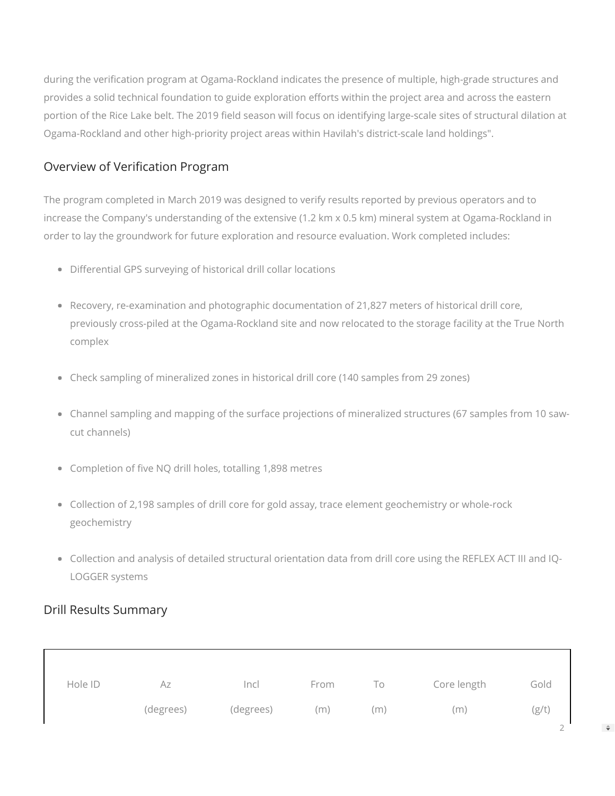during the verification program at Ogama-Rockland indicates the presence of multiple, high-grade structures and provides a solid technical foundation to guide exploration efforts within the project area and across the eastern portion of the Rice Lake belt. The 2019 field season will focus on identifying large-scale sites of structural dilation at Ogama-Rockland and other high-priority project areas within Havilah's district-scale land holdings".

### Overview of Verification Program

The program completed in March 2019 was designed to verify results reported by previous operators and to increase the Company's understanding of the extensive (1.2 km x 0.5 km) mineral system at Ogama-Rockland in order to lay the groundwork for future exploration and resource evaluation. Work completed includes:

- Differential GPS surveying of historical drill collar locations
- Recovery, re-examination and photographic documentation of 21,827 meters of historical drill core, previously cross-piled at the Ogama-Rockland site and now relocated to the storage facility at the True North complex
- Check sampling of mineralized zones in historical drill core (140 samples from 29 zones)
- Channel sampling and mapping of the surface projections of mineralized structures (67 samples from 10 sawcut channels)
- Completion of five NQ drill holes, totalling 1,898 metres
- Collection of 2,198 samples of drill core for gold assay, trace element geochemistry or whole-rock geochemistry
- Collection and analysis of detailed structural orientation data from drill core using the REFLEX ACT III and IQ-LOGGER systems

# Drill Results Summary

| Az        |                   | To   |     | Gold        |
|-----------|-------------------|------|-----|-------------|
| (degrees) | (m)               |      | (m) | (g/t)       |
|           | Incl<br>(degrees) | From | (m) | Core length |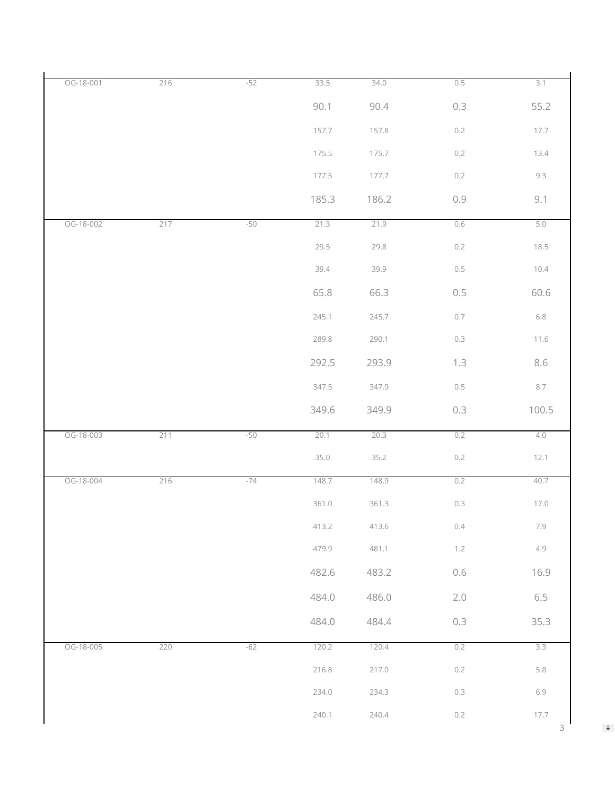| OG-18-001 | 216 | $-52$ | 33.5  | 34.0  | 0.5     | 3.1       |
|-----------|-----|-------|-------|-------|---------|-----------|
|           |     |       | 90.1  | 90.4  | 0.3     | 55.2      |
|           |     |       | 157.7 | 157.8 | $0.2\,$ | 17.7      |
|           |     |       | 175.5 | 175.7 | $0.2\,$ | 13.4      |
|           |     |       | 177.5 | 177.7 | $0.2\,$ | 9.3       |
|           |     |       | 185.3 | 186.2 | 0.9     | 9.1       |
| OG-18-002 | 217 | $-50$ | 21.3  | 21.9  | 0.6     | 5.0       |
|           |     |       | 29.5  | 29.8  | $0.2\,$ | 18.5      |
|           |     |       | 39.4  | 39.9  | $0.5\,$ | 10.4      |
|           |     |       | 65.8  | 66.3  | 0.5     | 60.6      |
|           |     |       | 245.1 | 245.7 | $0.7\,$ | $6.8\,$   |
|           |     |       | 289.8 | 290.1 | $0.3\,$ | 11.6      |
|           |     |       | 292.5 | 293.9 | 1.3     | 8.6       |
|           |     |       | 347.5 | 347.9 | $0.5\,$ | 8.7       |
|           |     |       | 349.6 | 349.9 | 0.3     | 100.5     |
| OG-18-003 | 211 | $-50$ | 20.1  | 20.3  | 0.2     | 4,0       |
|           |     |       | 35.0  | 35.2  | $0.2\,$ | 12.1      |
| OG-18-004 | 216 | $-74$ | 148.7 | 148.9 | 0.2     | 40.7      |
|           |     |       | 361.0 | 361.3 | $0.3\,$ | 17.0      |
|           |     |       | 413.2 | 413.6 | $0.4\,$ | 7.9       |
|           |     |       | 479.9 | 481.1 | 1.2     | 4.9       |
|           |     |       | 482.6 | 483.2 | 0.6     | 16.9      |
|           |     |       | 484.0 | 486.0 | 2.0     | $6.5\,$   |
|           |     |       | 484.0 | 484.4 | 0.3     | 35.3      |
| OG-18-005 | 220 | $-62$ | 120.2 | 120.4 | 0.2     | 3.3       |
|           |     |       | 216.8 | 217.0 | $0.2\,$ | 5.8       |
|           |     |       | 234.0 | 234.3 | $0.3\,$ | 6.9       |
|           |     |       | 240.1 | 240.4 | $0.2\,$ | 17.7<br>3 |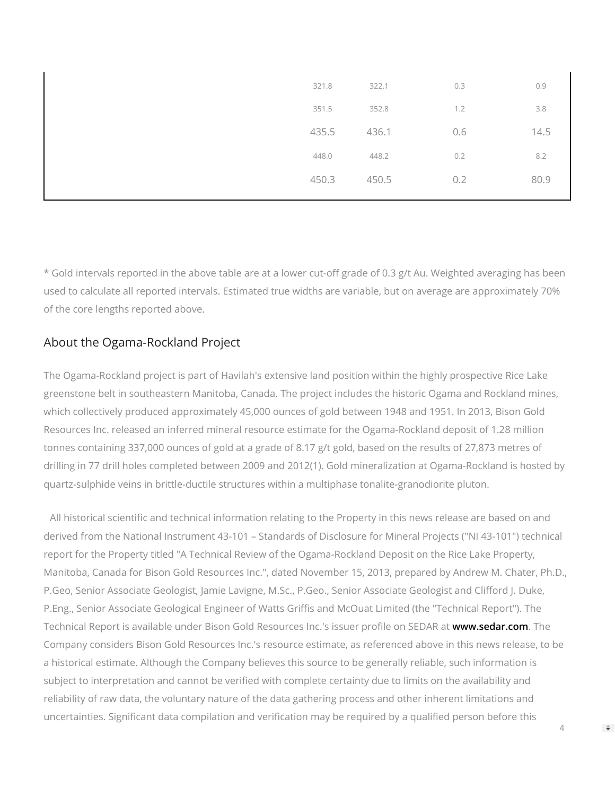| 321.8 | 322.1       | 0.3 | 0.9  |
|-------|-------------|-----|------|
| 351.5 | 352.8       | 1.2 | 3.8  |
|       | 435.5 436.1 | 0.6 | 14.5 |
| 448.0 | 448.2       | 0.2 | 8.2  |
| 450.3 | 450.5       | 0.2 | 80.9 |
|       |             |     |      |

\* Gold intervals reported in the above table are at a lower cut-off grade of 0.3 g/t Au. Weighted averaging has been used to calculate all reported intervals. Estimated true widths are variable, but on average are approximately 70% of the core lengths reported above.

# About the Ogama-Rockland Project

The Ogama-Rockland project is part of Havilah's extensive land position within the highly prospective Rice Lake greenstone belt in southeastern Manitoba, Canada. The project includes the historic Ogama and Rockland mines, which collectively produced approximately 45,000 ounces of gold between 1948 and 1951. In 2013, Bison Gold Resources Inc. released an inferred mineral resource estimate for the Ogama-Rockland deposit of 1.28 million tonnes containing 337,000 ounces of gold at a grade of 8.17 g/t gold, based on the results of 27,873 metres of drilling in 77 drill holes completed between 2009 and 2012(1). Gold mineralization at Ogama-Rockland is hosted by quartz-sulphide veins in brittle-ductile structures within a multiphase tonalite-granodiorite pluton.

All historical scientific and technical information relating to the Property in this news release are based on and derived from the National Instrument 43-101 – Standards of Disclosure for Mineral Projects ("NI 43-101") technical report for the Property titled "A Technical Review of the Ogama-Rockland Deposit on the Rice Lake Property, Manitoba, Canada for Bison Gold Resources Inc.", dated November 15, 2013, prepared by Andrew M. Chater, Ph.D., P.Geo, Senior Associate Geologist, Jamie Lavigne, M.Sc., P.Geo., Senior Associate Geologist and Clifford J. Duke, P.Eng., Senior Associate Geological Engineer of Watts Griffis and McOuat Limited (the "Technical Report"). The Technical Report is available under Bison Gold Resources Inc.'s issuer profile on SEDAR at [www.sedar.com](https://c212.net/c/link/?t=0&l=en&o=2488678-1&h=2394464593&u=http://www.sedar.com/&a=www.sedar.com). The Company considers Bison Gold Resources Inc.'s resource estimate, as referenced above in this news release, to be a historical estimate. Although the Company believes this source to be generally reliable, such information is subject to interpretation and cannot be verified with complete certainty due to limits on the availability and reliability of raw data, the voluntary nature of the data gathering process and other inherent limitations and uncertainties. Significant data compilation and verification may be required by a qualified person before this

 $\Delta$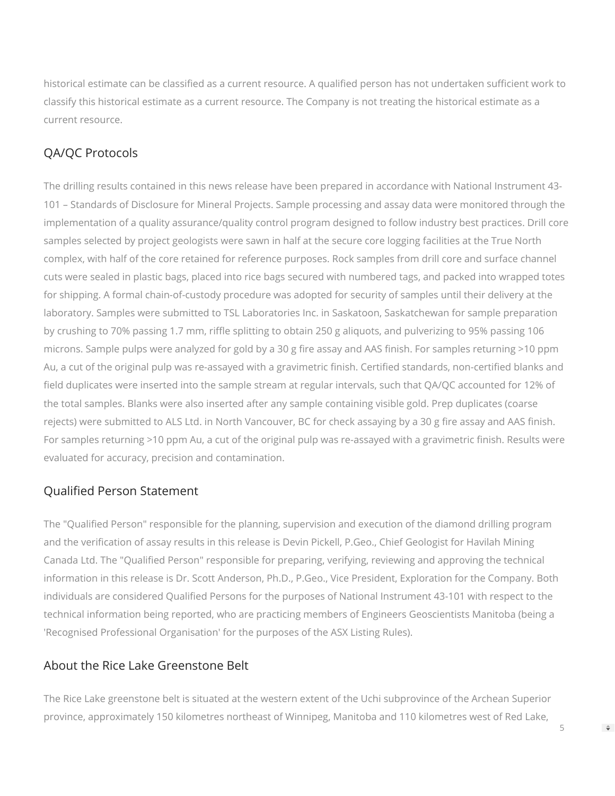historical estimate can be classified as a current resource. A qualified person has not undertaken sufficient work to classify this historical estimate as a current resource. The Company is not treating the historical estimate as a current resource.

# QA/QC Protocols

The drilling results contained in this news release have been prepared in accordance with National Instrument 43- 101 – Standards of Disclosure for Mineral Projects. Sample processing and assay data were monitored through the implementation of a quality assurance/quality control program designed to follow industry best practices. Drill core samples selected by project geologists were sawn in half at the secure core logging facilities at the True North complex, with half of the core retained for reference purposes. Rock samples from drill core and surface channel cuts were sealed in plastic bags, placed into rice bags secured with numbered tags, and packed into wrapped totes for shipping. A formal chain-of-custody procedure was adopted for security of samples until their delivery at the laboratory. Samples were submitted to TSL Laboratories Inc. in Saskatoon, Saskatchewan for sample preparation by crushing to 70% passing 1.7 mm, riffle splitting to obtain 250 g aliquots, and pulverizing to 95% passing 106 microns. Sample pulps were analyzed for gold by a 30 g fire assay and AAS finish. For samples returning >10 ppm Au, a cut of the original pulp was re-assayed with a gravimetric finish. Certified standards, non-certified blanks and field duplicates were inserted into the sample stream at regular intervals, such that QA/QC accounted for 12% of the total samples. Blanks were also inserted after any sample containing visible gold. Prep duplicates (coarse rejects) were submitted to ALS Ltd. in North Vancouver, BC for check assaying by a 30 g fire assay and AAS finish. For samples returning >10 ppm Au, a cut of the original pulp was re-assayed with a gravimetric finish. Results were evaluated for accuracy, precision and contamination.

#### Qualified Person Statement

The "Qualified Person" responsible for the planning, supervision and execution of the diamond drilling program and the verification of assay results in this release is Devin Pickell, P.Geo., Chief Geologist for Havilah Mining Canada Ltd. The "Qualified Person" responsible for preparing, verifying, reviewing and approving the technical information in this release is Dr. Scott Anderson, Ph.D., P.Geo., Vice President, Exploration for the Company. Both individuals are considered Qualified Persons for the purposes of National Instrument 43-101 with respect to the technical information being reported, who are practicing members of Engineers Geoscientists Manitoba (being a 'Recognised Professional Organisation' for the purposes of the ASX Listing Rules).

#### About the Rice Lake Greenstone Belt

The Rice Lake greenstone belt is situated at the western extent of the Uchi subprovince of the Archean Superior province, approximately 150 kilometres northeast of Winnipeg, Manitoba and 110 kilometres west of Red Lake,

5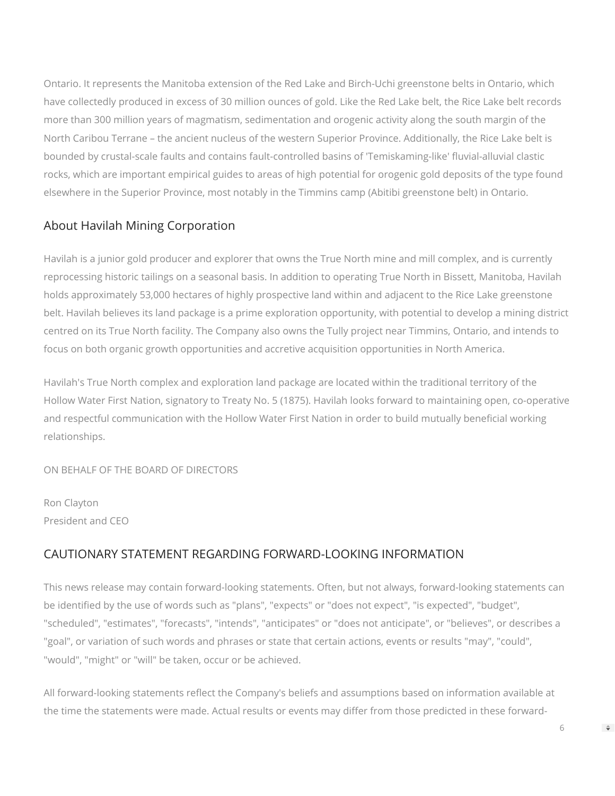Ontario. It represents the Manitoba extension of the Red Lake and Birch-Uchi greenstone belts in Ontario, which have collectedly produced in excess of 30 million ounces of gold. Like the Red Lake belt, the Rice Lake belt records more than 300 million years of magmatism, sedimentation and orogenic activity along the south margin of the North Caribou Terrane – the ancient nucleus of the western Superior Province. Additionally, the Rice Lake belt is bounded by crustal-scale faults and contains fault-controlled basins of 'Temiskaming-like' fluvial-alluvial clastic rocks, which are important empirical guides to areas of high potential for orogenic gold deposits of the type found elsewhere in the Superior Province, most notably in the Timmins camp (Abitibi greenstone belt) in Ontario.

### About Havilah Mining Corporation

Havilah is a junior gold producer and explorer that owns the True North mine and mill complex, and is currently reprocessing historic tailings on a seasonal basis. In addition to operating True North in Bissett, Manitoba, Havilah holds approximately 53,000 hectares of highly prospective land within and adjacent to the Rice Lake greenstone belt. Havilah believes its land package is a prime exploration opportunity, with potential to develop a mining district centred on its True North facility. The Company also owns the Tully project near Timmins, Ontario, and intends to focus on both organic growth opportunities and accretive acquisition opportunities in North America.

Havilah's True North complex and exploration land package are located within the traditional territory of the Hollow Water First Nation, signatory to Treaty No. 5 (1875). Havilah looks forward to maintaining open, co-operative and respectful communication with the Hollow Water First Nation in order to build mutually beneficial working relationships.

ON BEHALF OF THE BOARD OF DIRECTORS

Ron Clayton President and CEO

# CAUTIONARY STATEMENT REGARDING FORWARD-LOOKING INFORMATION

This news release may contain forward-looking statements. Often, but not always, forward-looking statements can be identified by the use of words such as "plans", "expects" or "does not expect", "is expected", "budget", "scheduled", "estimates", "forecasts", "intends", "anticipates" or "does not anticipate", or "believes", or describes a "goal", or variation of such words and phrases or state that certain actions, events or results "may", "could", "would", "might" or "will" be taken, occur or be achieved.

All forward-looking statements reflect the Company's beliefs and assumptions based on information available at the time the statements were made. Actual results or events may differ from those predicted in these forward-

6